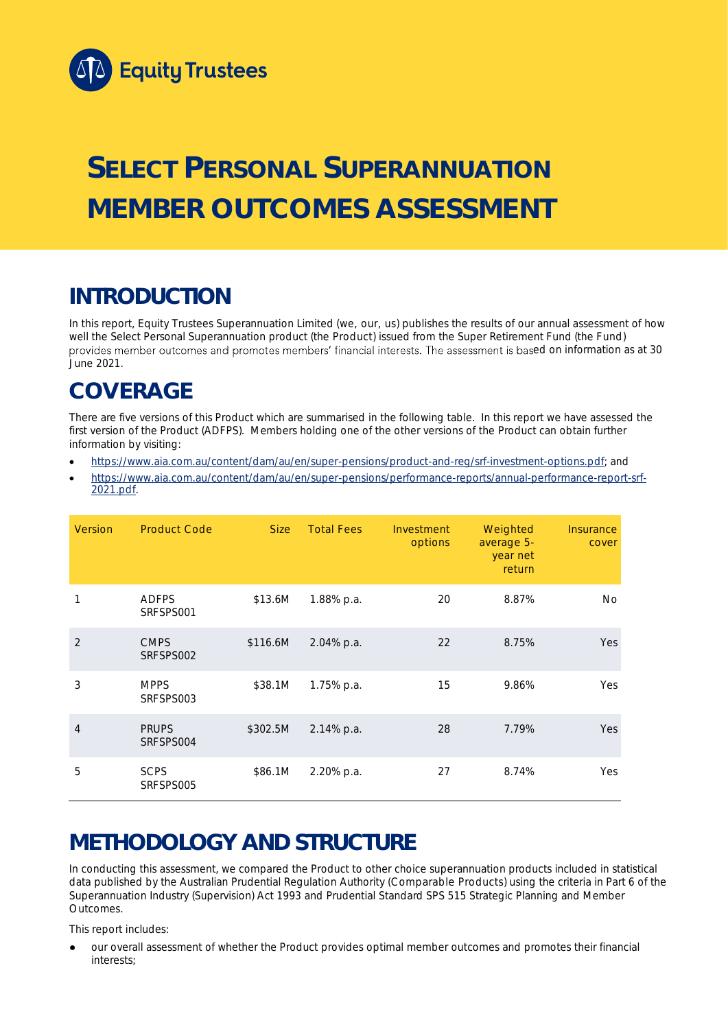

# **SELECT PERSONAL SUPERANNUATION MEMBER OUTCOMES ASSESSMENT**

## **INTRODUCTION**

In this report, Equity Trustees Superannuation Limited (we, our, us) publishes the results of our annual assessment of how well the Select Personal Superannuation product (the Product) issued from the Super Retirement Fund (the Fund) provides member outcomes and promotes members' financial interests. The assessment is based on information as at 30 June 2021.

### **COVERAGE**

There are five versions of this Product which are summarised in the following table. In this report we have assessed the first version of the Product (ADFPS). Members holding one of the other versions of the Product can obtain further information by visiting:

- [https://www.aia.com.au/content/dam/au/en/super-pensions/product-and-reg/srf-investment-options.pdf;](https://www.aia.com.au/content/dam/au/en/super-pensions/product-and-reg/srf-investment-options.pdf) and
- [https://www.aia.com.au/content/dam/au/en/super-pensions/performance-reports/annual-performance-report-srf-](https://www.aia.com.au/content/dam/au/en/super-pensions/performance-reports/annual-performance-report-srf-2021.pdf)[2021.pdf.](https://www.aia.com.au/content/dam/au/en/super-pensions/performance-reports/annual-performance-report-srf-2021.pdf)

| Version        | <b>Product Code</b>       | <b>Size</b> | <b>Total Fees</b> | Investment<br>options | Weighted<br>average 5-<br>year net<br>return | Insurance<br>cover |
|----------------|---------------------------|-------------|-------------------|-----------------------|----------------------------------------------|--------------------|
| 1              | <b>ADFPS</b><br>SRFSPS001 | \$13.6M     | 1.88% p.a.        | 20                    | 8.87%                                        | No                 |
| $\overline{2}$ | <b>CMPS</b><br>SRFSPS002  | \$116.6M    | 2.04% p.a.        | 22                    | 8.75%                                        | Yes                |
| 3              | <b>MPPS</b><br>SRFSPS003  | \$38.1M     | 1.75% p.a.        | 15                    | 9.86%                                        | Yes                |
| $\overline{4}$ | <b>PRUPS</b><br>SRFSPS004 | \$302.5M    | 2.14% p.a.        | 28                    | 7.79%                                        | Yes                |
| 5              | <b>SCPS</b><br>SRFSPS005  | \$86.1M     | 2.20% p.a.        | 27                    | 8.74%                                        | Yes                |

## **METHODOLOGY AND STRUCTURE**

In conducting this assessment, we compared the Product to other choice superannuation products included in statistical data published by the Australian Prudential Regulation Authority (Comparable Products) using the criteria in Part 6 of the *Superannuation Industry (Supervision) Act 1993* and Prudential Standard SPS 515 *Strategic Planning and Member Outcomes*.

This report includes:

our overall assessment of whether the Product provides optimal member outcomes and promotes their financial interests;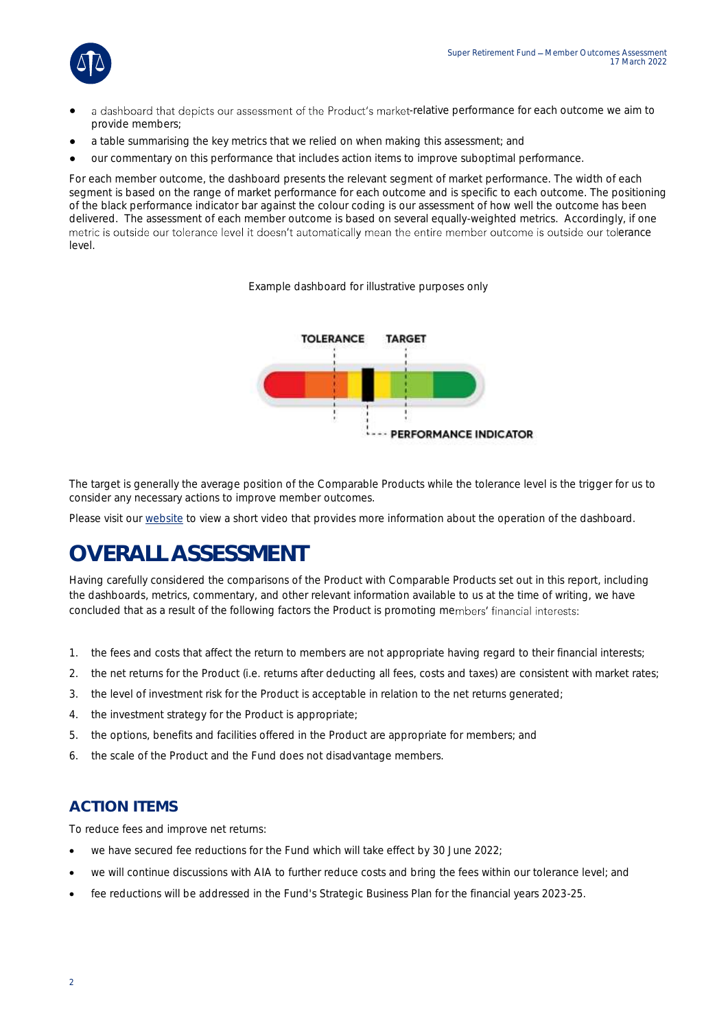

- a dashboard that depicts our assessment of the Product's market-relative performance for each outcome we aim to provide members;
- a table summarising the key metrics that we relied on when making this assessment; and
- our commentary on this performance that includes action items to improve suboptimal performance.

For each member outcome, the dashboard presents the relevant segment of market performance. The width of each segment is based on the range of market performance for each outcome and is specific to each outcome. The positioning of the black performance indicator bar against the colour coding is our assessment of how well the outcome has been delivered. The assessment of each member outcome is based on several equally-weighted metrics. Accordingly, if one metric is outside our tolerance level it doesn't automatically mean the entire member outcome is outside our tolerance level.

*Example dashboard for illustrative purposes only*



The target is generally the average position of the Comparable Products while the tolerance level is the trigger for us to consider any necessary actions to improve member outcomes.

Please visit our [website](https://www.eqt.com.au/superannuation) to view a short video that provides more information about the operation of the dashboard.

## **OVERALL ASSESSMENT**

Having carefully considered the comparisons of the Product with Comparable Products set out in this report, including the dashboards, metrics, commentary, and other relevant information available to us at the time of writing, we have concluded that as a result of the following factors the Product is promoting members' financial interests:

- 1. the fees and costs that affect the return to members are not appropriate having regard to their financial interests;
- 2. the net returns for the Product (i.e. returns after deducting all fees, costs and taxes) are consistent with market rates;
- 3. the level of investment risk for the Product is acceptable in relation to the net returns generated;
- 4. the investment strategy for the Product is appropriate;
- 5. the options, benefits and facilities offered in the Product are appropriate for members; and
- 6. the scale of the Product and the Fund does not disadvantage members.

#### **ACTION ITEMS**

To reduce fees and improve net returns:

- we have secured fee reductions for the Fund which will take effect by 30 June 2022;
- we will continue discussions with AIA to further reduce costs and bring the fees within our tolerance level; and
- fee reductions will be addressed in the Fund's Strategic Business Plan for the financial years 2023-25.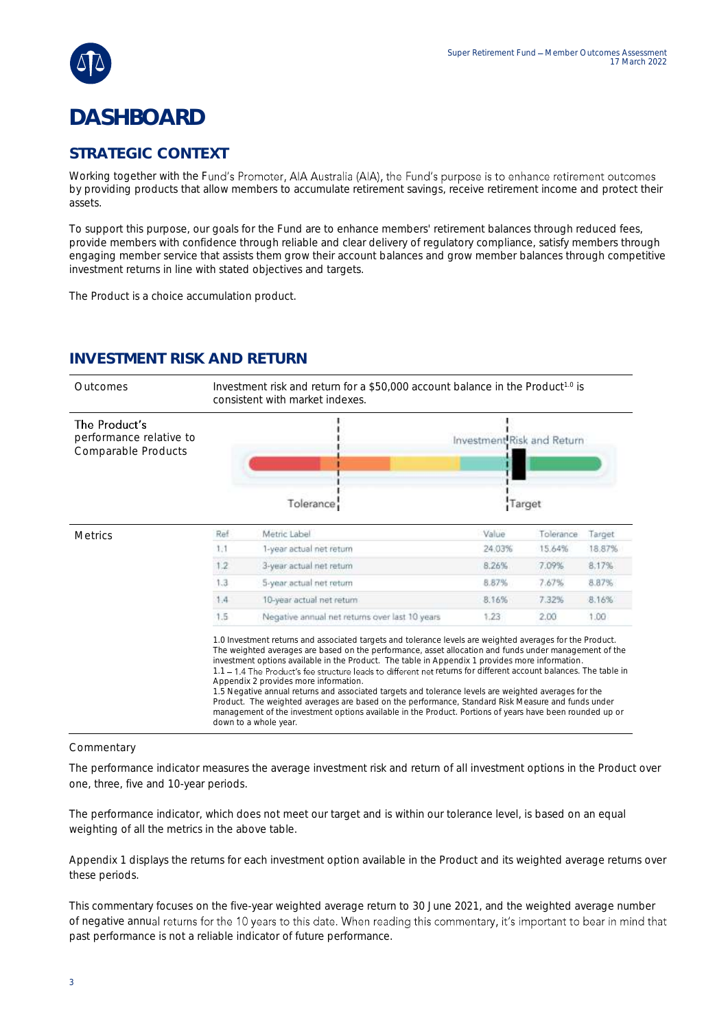

### **DASHBOARD**

#### **STRATEGIC CONTEXT**

Working together with the Fund's Promoter, AIA Australia (AIA), the Fund's purpose is to enhance retirement outcomes by providing products that allow members to accumulate retirement savings, receive retirement income and protect their assets.

To support this purpose, our goals for the Fund are to enhance members' retirement balances through reduced fees, provide members with confidence through reliable and clear delivery of regulatory compliance, satisfy members through engaging member service that assists them grow their account balances and grow member balances through competitive investment returns in line with stated objectives and targets.

The Product is a choice accumulation product.

### **INVESTMENT RISK AND RETURN**

| Outcomes                                                        | Investment risk and return for a \$50,000 account balance in the Product <sup>10</sup> is<br>consistent with market indexes. |                                                                                                                                                                                                                                                                                                                                                                                                                                                                                                                                                                                                                                                                                                                                                                                                                                          |                            |           |        |  |
|-----------------------------------------------------------------|------------------------------------------------------------------------------------------------------------------------------|------------------------------------------------------------------------------------------------------------------------------------------------------------------------------------------------------------------------------------------------------------------------------------------------------------------------------------------------------------------------------------------------------------------------------------------------------------------------------------------------------------------------------------------------------------------------------------------------------------------------------------------------------------------------------------------------------------------------------------------------------------------------------------------------------------------------------------------|----------------------------|-----------|--------|--|
| The Product's<br>performance relative to<br>Comparable Products |                                                                                                                              |                                                                                                                                                                                                                                                                                                                                                                                                                                                                                                                                                                                                                                                                                                                                                                                                                                          | Investment Risk and Return |           |        |  |
|                                                                 |                                                                                                                              | Tolerance:                                                                                                                                                                                                                                                                                                                                                                                                                                                                                                                                                                                                                                                                                                                                                                                                                               | Target                     |           |        |  |
| <b>Metrics</b>                                                  | Ref                                                                                                                          | Metric Label                                                                                                                                                                                                                                                                                                                                                                                                                                                                                                                                                                                                                                                                                                                                                                                                                             | Value                      | Tolerance | Target |  |
|                                                                 | 1.1                                                                                                                          | 1-year actual net return                                                                                                                                                                                                                                                                                                                                                                                                                                                                                                                                                                                                                                                                                                                                                                                                                 | 24.03%                     | 15.64%    | 18.87% |  |
|                                                                 | 1,2                                                                                                                          | 3-year actual net return                                                                                                                                                                                                                                                                                                                                                                                                                                                                                                                                                                                                                                                                                                                                                                                                                 | 8.26%                      | 7.09%     | 8,17%  |  |
|                                                                 | 1.3                                                                                                                          | 5-year actual net return                                                                                                                                                                                                                                                                                                                                                                                                                                                                                                                                                                                                                                                                                                                                                                                                                 | 8.87%                      | 7.67%     | 8.87%  |  |
|                                                                 | 1.4                                                                                                                          | 10-year actual net return                                                                                                                                                                                                                                                                                                                                                                                                                                                                                                                                                                                                                                                                                                                                                                                                                | 8.16%                      | 7.32%     | 8.16%  |  |
|                                                                 | 1.5                                                                                                                          | Negative annual net returns over last 10 years                                                                                                                                                                                                                                                                                                                                                                                                                                                                                                                                                                                                                                                                                                                                                                                           | 1.23                       | 2.00      | 1.00   |  |
|                                                                 |                                                                                                                              | 1.0 Investment returns and associated targets and tolerance levels are weighted averages for the Product.<br>The weighted averages are based on the performance, asset allocation and funds under management of the<br>investment options available in the Product. The table in Appendix 1 provides more information.<br>1.1 - 1.4 The Product's fee structure leads to different net returns for different account balances. The table in<br>Appendix 2 provides more information.<br>1.5 Negative annual returns and associated targets and tolerance levels are weighted averages for the<br>Product. The weighted averages are based on the performance, Standard Risk Measure and funds under<br>management of the investment options available in the Product. Portions of years have been rounded up or<br>down to a whole year. |                            |           |        |  |

#### Commentary

The performance indicator measures the average investment risk and return of all investment options in the Product over one, three, five and 10-year periods.

The performance indicator, which does not meet our target and is within our tolerance level, is based on an equal weighting of all the metrics in the above table.

Appendix 1 displays the returns for each investment option available in the Product and its weighted average returns over these periods.

This commentary focuses on the five-year weighted average return to 30 June 2021, and the weighted average number of negative annual returns for the 10 years to this date. When reading this commentary, it's important to bear in mind that past performance is not a reliable indicator of future performance.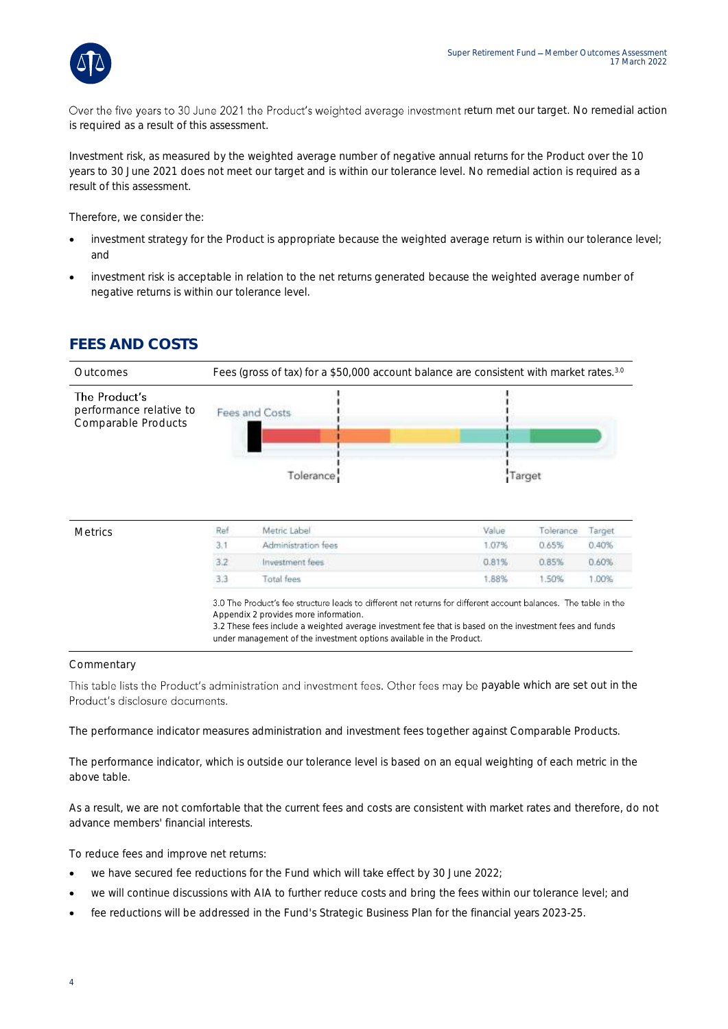

Over the five years to 30 June 2021 the Product's weighted average investment return met our target. No remedial action is required as a result of this assessment.

Investment risk, as measured by the weighted average number of negative annual returns for the Product over the 10 years to 30 June 2021 does not meet our target and is within our tolerance level. No remedial action is required as a result of this assessment.

Therefore, we consider the:

- investment strategy for the Product is appropriate because the weighted average return is within our tolerance level; and
- investment risk is acceptable in relation to the net returns generated because the weighted average number of negative returns is within our tolerance level.

#### **FEES AND COSTS**



under management of the investment options available in the Product.

#### **Commentary**

This table lists the Product's administration and investment fees. Other fees may be payable which are set out in the Product's disclosure documents.

The performance indicator measures administration and investment fees together against Comparable Products.

The performance indicator, which is outside our tolerance level is based on an equal weighting of each metric in the above table.

As a result, we are not comfortable that the current fees and costs are consistent with market rates and therefore, do not advance members' financial interests.

To reduce fees and improve net returns:

- we have secured fee reductions for the Fund which will take effect by 30 June 2022;
- we will continue discussions with AIA to further reduce costs and bring the fees within our tolerance level; and
- fee reductions will be addressed in the Fund's Strategic Business Plan for the financial years 2023-25.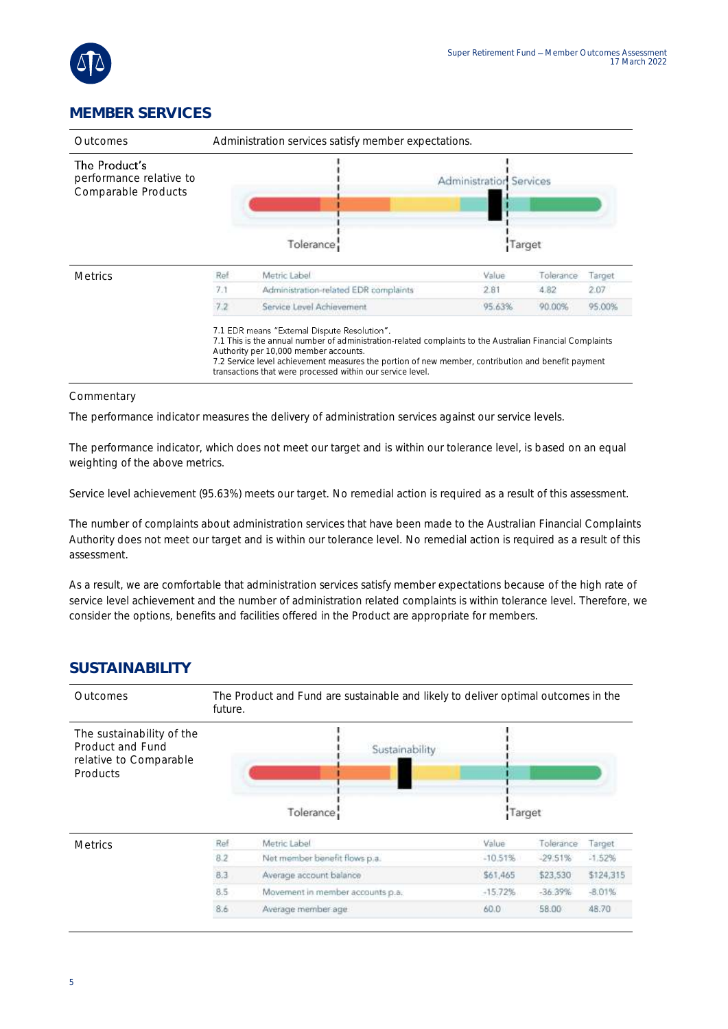

### **MEMBER SERVICES**

| Outcomes                                                        |     | Administration services satisfy member expectations.                                                                                                                                                                                                                                                                                                                   |                                          |           |        |  |
|-----------------------------------------------------------------|-----|------------------------------------------------------------------------------------------------------------------------------------------------------------------------------------------------------------------------------------------------------------------------------------------------------------------------------------------------------------------------|------------------------------------------|-----------|--------|--|
| The Product's<br>performance relative to<br>Comparable Products |     | Tolerance:                                                                                                                                                                                                                                                                                                                                                             | <b>Administration Services</b><br>Target |           |        |  |
| <b>Metrics</b>                                                  | Ref | Metric Label                                                                                                                                                                                                                                                                                                                                                           | Value                                    | Tolerance | Target |  |
|                                                                 | 7.1 | Administration-related EDR complaints                                                                                                                                                                                                                                                                                                                                  | 2.81                                     | 4.82      | 2.07   |  |
|                                                                 | 7.2 | Service Level Achievement                                                                                                                                                                                                                                                                                                                                              | 95.63%                                   | 90.00%    | 95.00% |  |
|                                                                 |     | 7.1 EDR means "External Dispute Resolution".<br>7.1 This is the annual number of administration-related complaints to the Australian Financial Complaints<br>Authority per 10,000 member accounts.<br>7.2 Service level achievement measures the portion of new member, contribution and benefit payment<br>transactions that were processed within our service level. |                                          |           |        |  |

#### Commentary

The performance indicator measures the delivery of administration services against our service levels.

The performance indicator, which does not meet our target and is within our tolerance level, is based on an equal weighting of the above metrics.

Service level achievement (95.63%) meets our target. No remedial action is required as a result of this assessment.

The number of complaints about administration services that have been made to the Australian Financial Complaints Authority does not meet our target and is within our tolerance level. No remedial action is required as a result of this assessment.

As a result, we are comfortable that administration services satisfy member expectations because of the high rate of service level achievement and the number of administration related complaints is within tolerance level. Therefore, we consider the options, benefits and facilities offered in the Product are appropriate for members.

#### **SUSTAINABILITY**

| <b>Outcomes</b>                                                                            | The Product and Fund are sustainable and likely to deliver optimal outcomes in the<br>future. |                                  |           |           |               |  |  |
|--------------------------------------------------------------------------------------------|-----------------------------------------------------------------------------------------------|----------------------------------|-----------|-----------|---------------|--|--|
| The sustainability of the<br>Product and Fund<br>relative to Comparable<br><b>Products</b> |                                                                                               | Sustainability<br>Tolerance      | Target    |           |               |  |  |
| <b>Metrics</b>                                                                             | Ref                                                                                           | Metric Label                     | Value     | Tolerance | <b>Target</b> |  |  |
|                                                                                            | 8.2                                                                                           | Net member benefit flows p.a.    | $-10.51%$ | $-29.51%$ | $-1.52%$      |  |  |
|                                                                                            | 8.3                                                                                           | Average account balance          | \$61,465  | \$23,530  | \$124,315     |  |  |
|                                                                                            | 8.5                                                                                           | Movement in member accounts p.a. | $-15.72%$ | $-36.39%$ | $-8.01%$      |  |  |
|                                                                                            | 8.6                                                                                           | Average member age               | 60.0      | 58.00     | 48.70         |  |  |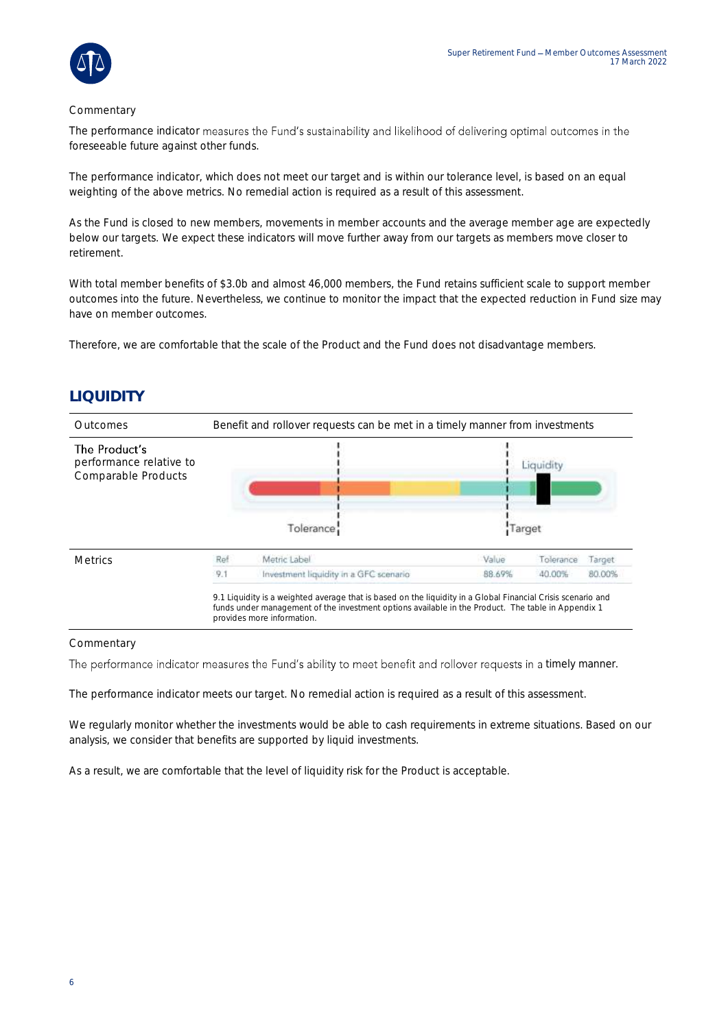

#### Commentary

The performance indicator measures the Fund's sustainability and likelihood of delivering optimal outcomes in the foreseeable future against other funds.

The performance indicator, which does not meet our target and is within our tolerance level, is based on an equal weighting of the above metrics. No remedial action is required as a result of this assessment.

As the Fund is closed to new members, movements in member accounts and the average member age are expectedly below our targets. We expect these indicators will move further away from our targets as members move closer to retirement.

With total member benefits of \$3.0b and almost 46,000 members, the Fund retains sufficient scale to support member outcomes into the future. Nevertheless, we continue to monitor the impact that the expected reduction in Fund size may have on member outcomes.

Therefore, we are comfortable that the scale of the Product and the Fund does not disadvantage members.

### **LIQUIDITY**

| Outcomes                                                        | Benefit and rollover requests can be met in a timely manner from investments |                                                                                                                                                                                                                                                  |        |           |        |  |
|-----------------------------------------------------------------|------------------------------------------------------------------------------|--------------------------------------------------------------------------------------------------------------------------------------------------------------------------------------------------------------------------------------------------|--------|-----------|--------|--|
| The Product's<br>performance relative to<br>Comparable Products |                                                                              |                                                                                                                                                                                                                                                  |        |           |        |  |
|                                                                 |                                                                              | Tolerance:                                                                                                                                                                                                                                       |        | Target    |        |  |
| <b>Metrics</b>                                                  | Ref                                                                          | Metric Label                                                                                                                                                                                                                                     | Value  | Tolerance | Target |  |
|                                                                 | 9.1                                                                          | Investment liquidity in a GFC scenario                                                                                                                                                                                                           | 88.69% | 40.00%    | 80.00% |  |
|                                                                 |                                                                              | 9.1 Liquidity is a weighted average that is based on the liquidity in a Global Financial Crisis scenario and<br>funds under management of the investment options available in the Product. The table in Appendix 1<br>provides more information. |        |           |        |  |

#### Commentary

The performance indicator measures the Fund's ability to meet benefit and rollover requests in a timely manner.

The performance indicator meets our target. No remedial action is required as a result of this assessment.

We regularly monitor whether the investments would be able to cash requirements in extreme situations. Based on our analysis, we consider that benefits are supported by liquid investments.

As a result, we are comfortable that the level of liquidity risk for the Product is acceptable.